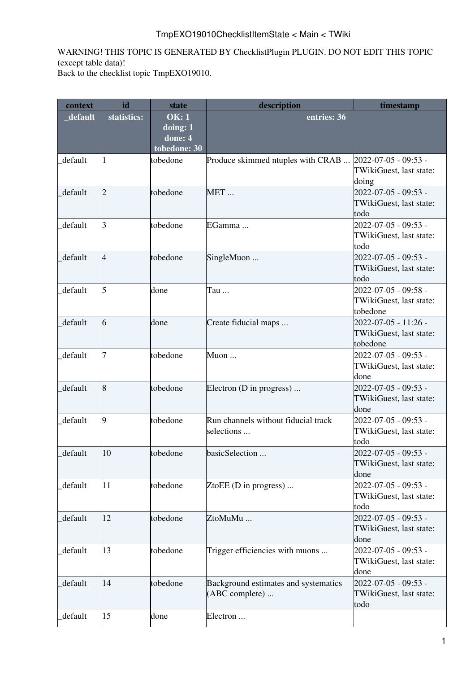## TmpEXO19010ChecklistItemState < Main < TWiki

WARNING! THIS TOPIC IS GENERATED BY [ChecklistPlugin](https://twiki.cern.ch/twiki/bin/view/TWiki/ChecklistPlugin) PLUGIN. DO NOT EDIT THIS TOPIC (except table data)!

Back to the [checklist topic TmpEXO19010](https://twiki.cern.ch/twiki/bin/view/Main/TmpEXO19010).

| context  | id          | <b>state</b>                                                                  | description                                             | timestamp                                                     |
|----------|-------------|-------------------------------------------------------------------------------|---------------------------------------------------------|---------------------------------------------------------------|
| _default | statistics: | <b>OK: 1</b><br>$\frac{1}{2}$ doing: $\frac{1}{2}$<br>done: 4<br>tobedone: 30 | entries: 36                                             |                                                               |
| default  |             | tobedone                                                                      | Produce skimmed ntuples with CRAB  2022-07-05 - 09:53 - | TWikiGuest, last state:<br>doing                              |
| default  | 2           | tobedone                                                                      | MET                                                     | 2022-07-05 - 09:53 -<br>TWikiGuest, last state:<br>todo       |
| default  | B           | tobedone                                                                      | EGamma                                                  | 2022-07-05 - 09:53 -<br>TWikiGuest, last state:<br>todo       |
| default  | 4           | tobedone                                                                      | SingleMuon                                              | $2022 - 07 - 05 - 09:53 -$<br>TWikiGuest, last state:<br>todo |
| default  | 5           | done                                                                          | Tau                                                     | 2022-07-05 - 09:58 -<br>TWikiGuest, last state:<br>tobedone   |
| default  | 6           | done                                                                          | Create fiducial maps                                    | 2022-07-05 - 11:26 -<br>TWikiGuest, last state:<br>tobedone   |
| default  |             | tobedone                                                                      | Muon                                                    | 2022-07-05 - 09:53 -<br>TWikiGuest, last state:<br>done       |
| default  | 8           | tobedone                                                                      | Electron (D in progress)                                | 2022-07-05 - 09:53 -<br>TWikiGuest, last state:<br>done       |
| default  | 9           | tobedone                                                                      | Run channels without fiducial track<br>selections       | 2022-07-05 - 09:53 -<br>TWikiGuest, last state:<br>todo       |
| default  | 10          | tobedone                                                                      | basicSelection                                          | 2022-07-05 - 09:53 -<br>TWikiGuest, last state:<br>done       |
| default  | 11          | tobedone                                                                      | ZtoEE ( $D$ in progress)                                | 2022-07-05 - 09:53 -<br>TWikiGuest, last state:<br>todo       |
| default  | 12          | tobedone                                                                      | ZtoMuMu                                                 | 2022-07-05 - 09:53 -<br>TWikiGuest, last state:<br>done       |
| default  | 13          | tobedone                                                                      | Trigger efficiencies with muons                         | 2022-07-05 - 09:53 -<br>TWikiGuest, last state:<br>done       |
| default  | 14          | tobedone                                                                      | Background estimates and systematics<br>(ABC complete)  | 2022-07-05 - 09:53 -<br>TWikiGuest, last state:<br>todo       |
| default  | 15          | done                                                                          | Electron                                                |                                                               |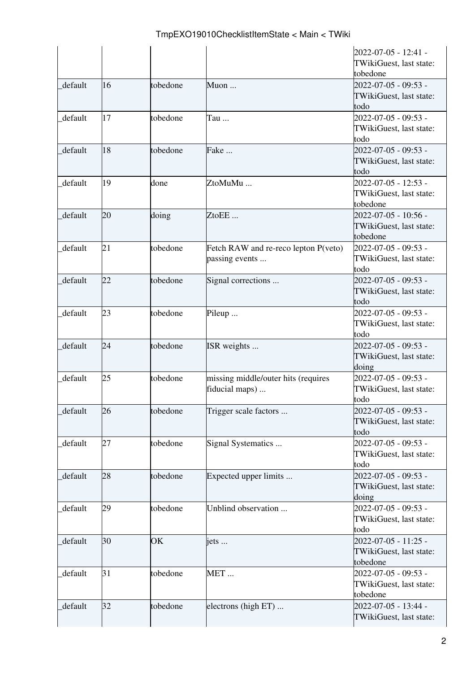|         |    |          |                                                        | 2022-07-05 - 12:41 -<br>TWikiGuest, last state:                         |
|---------|----|----------|--------------------------------------------------------|-------------------------------------------------------------------------|
| default | 16 | tobedone | Muon                                                   | tobedone<br>2022-07-05 - 09:53 -<br>TWikiGuest, last state:             |
| default | 17 | tobedone | Tau                                                    | todo<br>2022-07-05 - 09:53 -<br>TWikiGuest, last state:                 |
| default | 18 | tobedone | Fake                                                   | todo<br>2022-07-05 - 09:53 -<br>TWikiGuest, last state:                 |
| default | 19 | done     | ZtoMuMu                                                | todo<br>2022-07-05 - 12:53 -<br>TWikiGuest, last state:                 |
| default | 20 | doing    | ZtoEE                                                  | tobedone<br>2022-07-05 - 10:56 -<br>TWikiGuest, last state:<br>tobedone |
| default | 21 | tobedone | Fetch RAW and re-reco lepton P(veto)<br>passing events | 2022-07-05 - 09:53 -<br>TWikiGuest, last state:<br>todo                 |
| default | 22 | tobedone | Signal corrections                                     | 2022-07-05 - 09:53 -<br>TWikiGuest, last state:<br>todo                 |
| default | 23 | tobedone | Pileup                                                 | 2022-07-05 - 09:53 -<br>TWikiGuest, last state:<br>todo                 |
| default | 24 | tobedone | ISR weights                                            | 2022-07-05 - 09:53 -<br>TWikiGuest, last state:<br>doing                |
| default | 25 | tobedone | missing middle/outer hits (requires<br>fiducial maps)  | 2022-07-05 - 09:53 -<br>TWikiGuest, last state:<br>todo                 |
| default | 26 | tobedone | Trigger scale factors                                  | 2022-07-05 - 09:53 -<br>TWikiGuest, last state:<br>todo                 |
| default | 27 | tobedone | Signal Systematics                                     | 2022-07-05 - 09:53 -<br>TWikiGuest, last state:<br>todo                 |
| default | 28 | tobedone | Expected upper limits                                  | 2022-07-05 - 09:53 -<br>TWikiGuest, last state:<br>doing                |
| default | 29 | tobedone | Unblind observation                                    | 2022-07-05 - 09:53 -<br>TWikiGuest, last state:<br>todo                 |
| default | 30 | OK       | iets                                                   | 2022-07-05 - 11:25 -<br>TWikiGuest, last state:<br>tobedone             |
| default | 31 | tobedone | MET                                                    | 2022-07-05 - 09:53 -<br>TWikiGuest, last state:<br>tobedone             |
| default | 32 | tobedone | electrons (high ET)                                    | 2022-07-05 - 13:44 -<br>TWikiGuest, last state:                         |